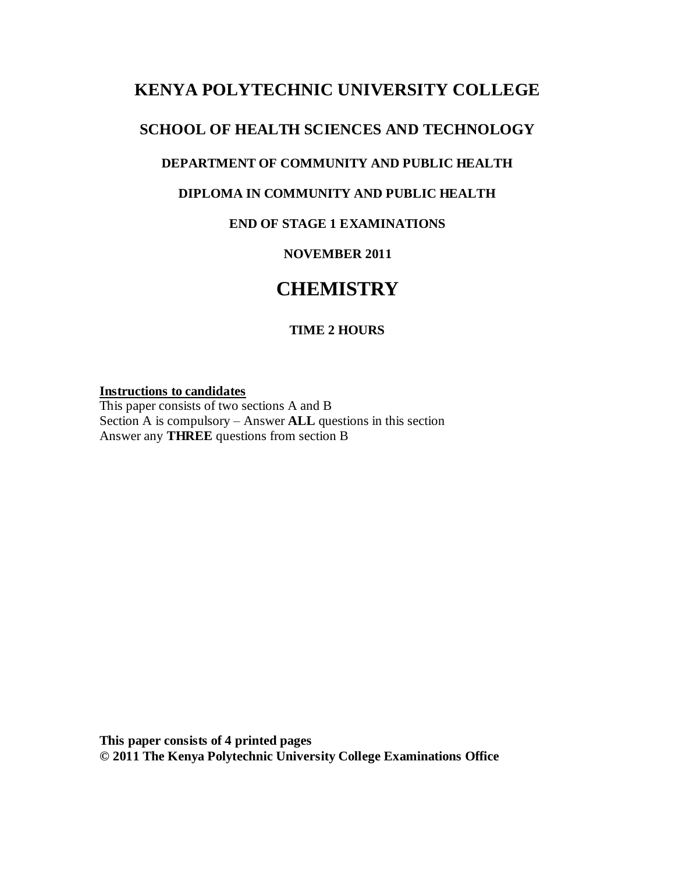## **KENYA POLYTECHNIC UNIVERSITY COLLEGE**

## **SCHOOL OF HEALTH SCIENCES AND TECHNOLOGY**

## **DEPARTMENT OF COMMUNITY AND PUBLIC HEALTH**

## **DIPLOMA IN COMMUNITY AND PUBLIC HEALTH**

## **END OF STAGE 1 EXAMINATIONS**

## **NOVEMBER 2011**

# **CHEMISTRY**

## **TIME 2 HOURS**

#### **Instructions to candidates**

This paper consists of two sections A and B Section A is compulsory – Answer **ALL** questions in this section Answer any **THREE** questions from section B

**This paper consists of 4 printed pages © 2011 The Kenya Polytechnic University College Examinations Office**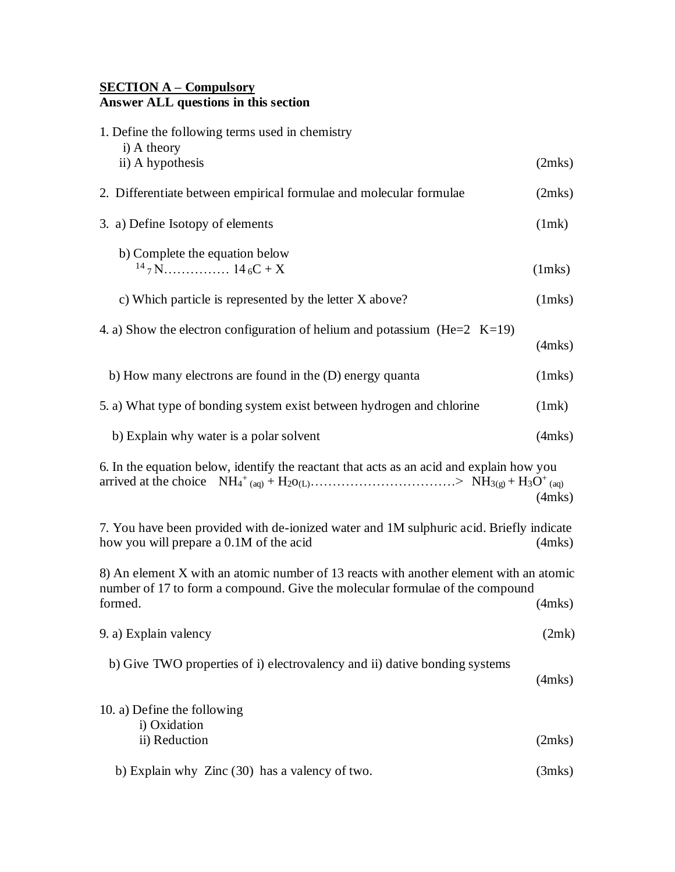### **SECTION A – Compulsory Answer ALL questions in this section**

| 1. Define the following terms used in chemistry<br>i) A theory                                                                                                                    |              |
|-----------------------------------------------------------------------------------------------------------------------------------------------------------------------------------|--------------|
| ii) A hypothesis                                                                                                                                                                  | (2mks)       |
| 2. Differentiate between empirical formulae and molecular formulae                                                                                                                | (2mks)       |
| 3. a) Define Isotopy of elements                                                                                                                                                  | (1mk)        |
| b) Complete the equation below                                                                                                                                                    | $(1$ mks $)$ |
| c) Which particle is represented by the letter X above?                                                                                                                           | $(1$ mks $)$ |
| 4. a) Show the electron configuration of helium and potassium (He= $2$ K=19)                                                                                                      | $(4$ mks $)$ |
| b) How many electrons are found in the (D) energy quanta                                                                                                                          | $(1$ mks $)$ |
| 5. a) What type of bonding system exist between hydrogen and chlorine                                                                                                             | (1mk)        |
| b) Explain why water is a polar solvent                                                                                                                                           | $(4$ mks $)$ |
| 6. In the equation below, identify the reactant that acts as an acid and explain how you                                                                                          | (4mks)       |
| 7. You have been provided with de-ionized water and 1M sulphuric acid. Briefly indicate<br>how you will prepare a 0.1M of the acid                                                | (4mks)       |
| 8) An element X with an atomic number of 13 reacts with another element with an atomic<br>number of 17 to form a compound. Give the molecular formulae of the compound<br>formed. | $(4$ mks $)$ |
| 9. a) Explain valency                                                                                                                                                             | (2mk)        |
| b) Give TWO properties of i) electrovalency and ii) dative bonding systems                                                                                                        | $(4$ mks $)$ |
| 10. a) Define the following<br>i) Oxidation                                                                                                                                       |              |
| ii) Reduction                                                                                                                                                                     | (2mks)       |
| b) Explain why Zinc (30) has a valency of two.                                                                                                                                    |              |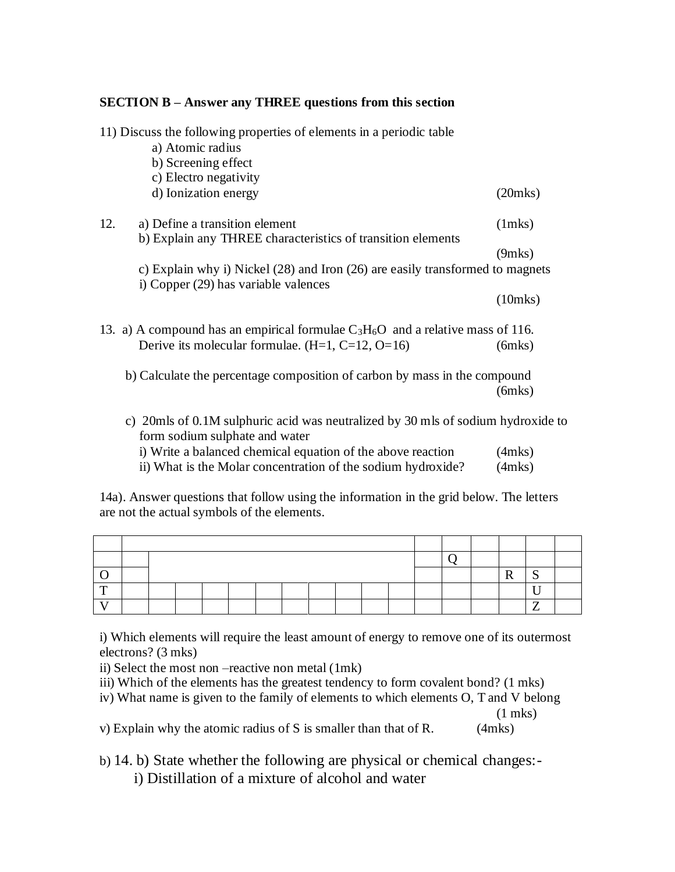### **SECTION B – Answer any THREE questions from this section**

|     | 11) Discuss the following properties of elements in a periodic table                                                                                                                                                                                                                                                                                                                                                                                      |               |
|-----|-----------------------------------------------------------------------------------------------------------------------------------------------------------------------------------------------------------------------------------------------------------------------------------------------------------------------------------------------------------------------------------------------------------------------------------------------------------|---------------|
|     | a) Atomic radius                                                                                                                                                                                                                                                                                                                                                                                                                                          |               |
|     | b) Screening effect                                                                                                                                                                                                                                                                                                                                                                                                                                       |               |
|     | c) Electro negativity                                                                                                                                                                                                                                                                                                                                                                                                                                     |               |
|     | d) Ionization energy                                                                                                                                                                                                                                                                                                                                                                                                                                      | $(20$ mks $)$ |
| 12. | a) Define a transition element                                                                                                                                                                                                                                                                                                                                                                                                                            | $(1$ mks $)$  |
|     | b) Explain any THREE characteristics of transition elements                                                                                                                                                                                                                                                                                                                                                                                               |               |
|     |                                                                                                                                                                                                                                                                                                                                                                                                                                                           | $(9$ mks $)$  |
|     | c) Explain why i) Nickel (28) and Iron (26) are easily transformed to magnets                                                                                                                                                                                                                                                                                                                                                                             |               |
|     | i) Copper (29) has variable valences                                                                                                                                                                                                                                                                                                                                                                                                                      |               |
|     |                                                                                                                                                                                                                                                                                                                                                                                                                                                           | $(10$ mks $)$ |
|     | 13. a) A compound has an empirical formulae $C_3H_6O$ and a relative mass of 116.                                                                                                                                                                                                                                                                                                                                                                         |               |
|     | Derive its molecular formulae. $(H=1, C=12, O=16)$                                                                                                                                                                                                                                                                                                                                                                                                        | $(6$ mks $)$  |
|     | b) Calculate the percentage composition of carbon by mass in the compound                                                                                                                                                                                                                                                                                                                                                                                 |               |
|     |                                                                                                                                                                                                                                                                                                                                                                                                                                                           | (6mks)        |
|     | c) 20mls of 0.1M sulphuric acid was neutralized by 30 mls of sodium hydroxide to<br>form sodium sulphate and water                                                                                                                                                                                                                                                                                                                                        |               |
|     | $\mathcal{L}(\mathbf{W} \mathbf{Y}, \mathbf{Y}, \mathbf{Y}, \mathbf{Y}, \mathbf{Y}, \mathbf{Y}, \mathbf{Y}, \mathbf{Y}, \mathbf{Y}, \mathbf{Y}, \mathbf{Y}, \mathbf{Y}, \mathbf{Y}, \mathbf{Y}, \mathbf{Y}, \mathbf{Y}, \mathbf{Y}, \mathbf{Y}, \mathbf{Y}, \mathbf{Y}, \mathbf{Y}, \mathbf{Y}, \mathbf{Y}, \mathbf{Y}, \mathbf{Y}, \mathbf{Y}, \mathbf{Y}, \mathbf{Y}, \mathbf{Y}, \mathbf{Y}, \mathbf{Y}, \mathbf{Y}, \mathbf{Y}, \mathbf{Y}, \mathbf{$ |               |

| i) Write a balanced chemical equation of the above reaction                     | $(4$ mks $)$ |
|---------------------------------------------------------------------------------|--------------|
| $\dddot{\mathbf{u}}$ . What is the Moler concentration of the sodium hydroxide? | $(4m\pi)$    |

ii) What is the Molar concentration of the sodium hydroxide? (4mks)

14a). Answer questions that follow using the information in the grid below. The letters are not the actual symbols of the elements.

i) Which elements will require the least amount of energy to remove one of its outermost electrons? (3 mks)

ii) Select the most non –reactive non metal (1mk)

- iii) Which of the elements has the greatest tendency to form covalent bond? (1 mks)
- iv) What name is given to the family of elements to which elements O, T and V belong

(1 mks)

v) Explain why the atomic radius of S is smaller than that of R. (4mks)

b) 14. b) State whether the following are physical or chemical changes: i) Distillation of a mixture of alcohol and water